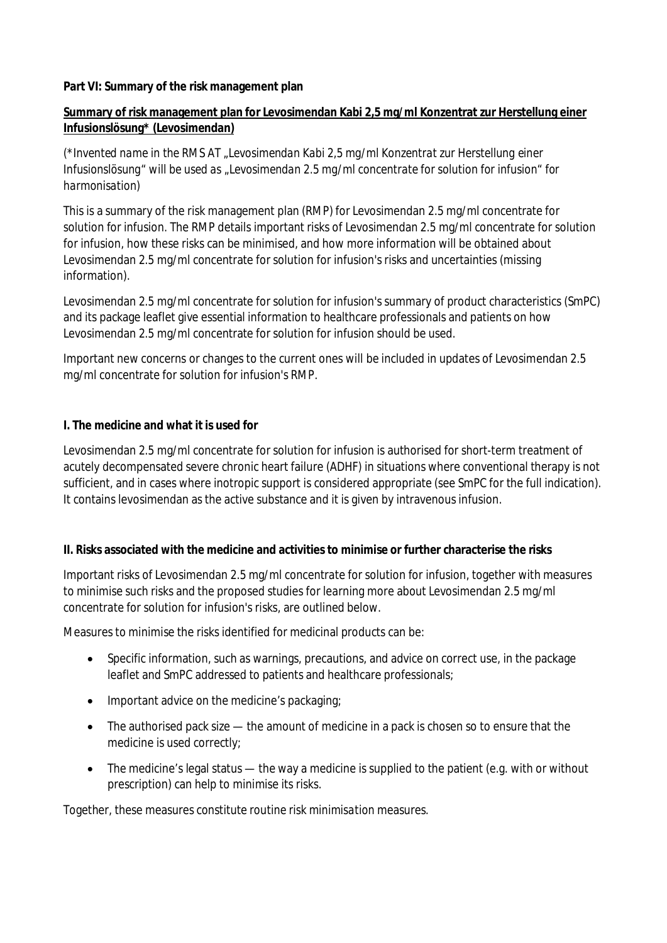#### **Part VI: Summary of the risk management plan**

### **Summary of risk management plan for Levosimendan Kabi 2,5 mg/ml Konzentrat zur Herstellung einer Infusionslösung\* (Levosimendan)**

*(\*Invented name in the RMS AT "Levosimendan Kabi 2,5 mg/ml Konzentrat zur Herstellung einer Infusionslösung" will be used as "Levosimendan 2.5 mg/ml concentrate for solution for infusion" for harmonisation)*

This is a summary of the risk management plan (RMP) for Levosimendan 2.5 mg/ml concentrate for solution for infusion. The RMP details important risks of Levosimendan 2.5 mg/ml concentrate for solution for infusion, how these risks can be minimised, and how more information will be obtained about Levosimendan 2.5 mg/ml concentrate for solution for infusion's risks and uncertainties (missing information).

Levosimendan 2.5 mg/ml concentrate for solution for infusion's summary of product characteristics (SmPC) and its package leaflet give essential information to healthcare professionals and patients on how Levosimendan 2.5 mg/ml concentrate for solution for infusion should be used.

Important new concerns or changes to the current ones will be included in updates of Levosimendan 2.5 mg/ml concentrate for solution for infusion's RMP.

#### **I. The medicine and what it is used for**

Levosimendan 2.5 mg/ml concentrate for solution for infusion is authorised for short-term treatment of acutely decompensated severe chronic heart failure (ADHF) in situations where conventional therapy is not sufficient, and in cases where inotropic support is considered appropriate (see SmPC for the full indication). It contains levosimendan as the active substance and it is given by intravenous infusion.

**II. Risks associated with the medicine and activities to minimise or further characterise the risks**

Important risks of Levosimendan 2.5 mg/ml concentrate for solution for infusion, together with measures to minimise such risks and the proposed studies for learning more about Levosimendan 2.5 mg/ml concentrate for solution for infusion's risks, are outlined below.

Measures to minimise the risks identified for medicinal products can be:

- Specific information, such as warnings, precautions, and advice on correct use, in the package leaflet and SmPC addressed to patients and healthcare professionals;
- Important advice on the medicine's packaging;
- The authorised pack size the amount of medicine in a pack is chosen so to ensure that the medicine is used correctly;
- The medicine's legal status the way a medicine is supplied to the patient (e.g. with or without prescription) can help to minimise its risks.

Together, these measures constitute *routine risk minimisation* measures.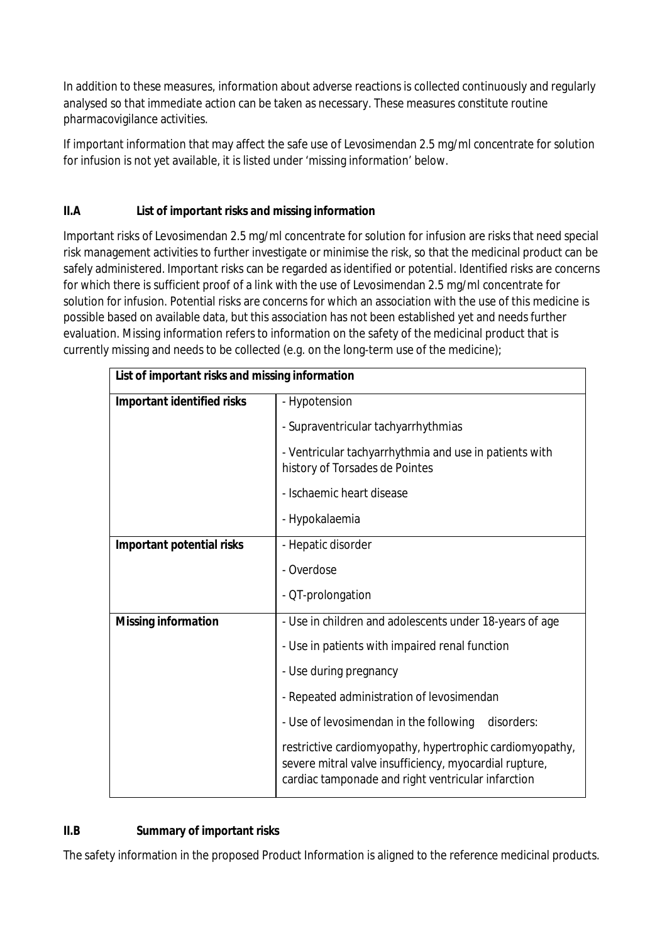In addition to these measures, information about adverse reactions is collected continuously and regularly analysed so that immediate action can be taken as necessary. These measures constitute routine pharmacovigilance activities.

If important information that may affect the safe use of Levosimendan 2.5 mg/ml concentrate for solution for infusion is not yet available, it is listed under 'missing information' below.

# **II.A List of important risks and missing information**

Important risks of Levosimendan 2.5 mg/ml concentrate for solution for infusion are risks that need special risk management activities to further investigate or minimise the risk, so that the medicinal product can be safely administered. Important risks can be regarded as identified or potential. Identified risks are concerns for which there is sufficient proof of a link with the use of Levosimendan 2.5 mg/ml concentrate for solution for infusion. Potential risks are concerns for which an association with the use of this medicine is possible based on available data, but this association has not been established yet and needs further evaluation. Missing information refers to information on the safety of the medicinal product that is currently missing and needs to be collected (e.g. on the long-term use of the medicine);

| List of important risks and missing information |                                                                                                                                                                          |
|-------------------------------------------------|--------------------------------------------------------------------------------------------------------------------------------------------------------------------------|
| Important identified risks                      | - Hypotension                                                                                                                                                            |
|                                                 | - Supraventricular tachyarrhythmias                                                                                                                                      |
|                                                 | - Ventricular tachyarrhythmia and use in patients with<br>history of Torsades de Pointes                                                                                 |
|                                                 | - Ischaemic heart disease                                                                                                                                                |
|                                                 | - Hypokalaemia                                                                                                                                                           |
| Important potential risks                       | - Hepatic disorder                                                                                                                                                       |
|                                                 | - Overdose                                                                                                                                                               |
|                                                 | - QT-prolongation                                                                                                                                                        |
| Missing information                             | - Use in children and adolescents under 18-years of age                                                                                                                  |
|                                                 | - Use in patients with impaired renal function                                                                                                                           |
|                                                 | - Use during pregnancy                                                                                                                                                   |
|                                                 | - Repeated administration of levosimendan                                                                                                                                |
|                                                 | - Use of levosimendan in the following<br>disorders:                                                                                                                     |
|                                                 | restrictive cardiomyopathy, hypertrophic cardiomyopathy,<br>severe mitral valve insufficiency, myocardial rupture,<br>cardiac tamponade and right ventricular infarction |

## **II.B Summary of important risks**

The safety information in the proposed Product Information is aligned to the reference medicinal products.